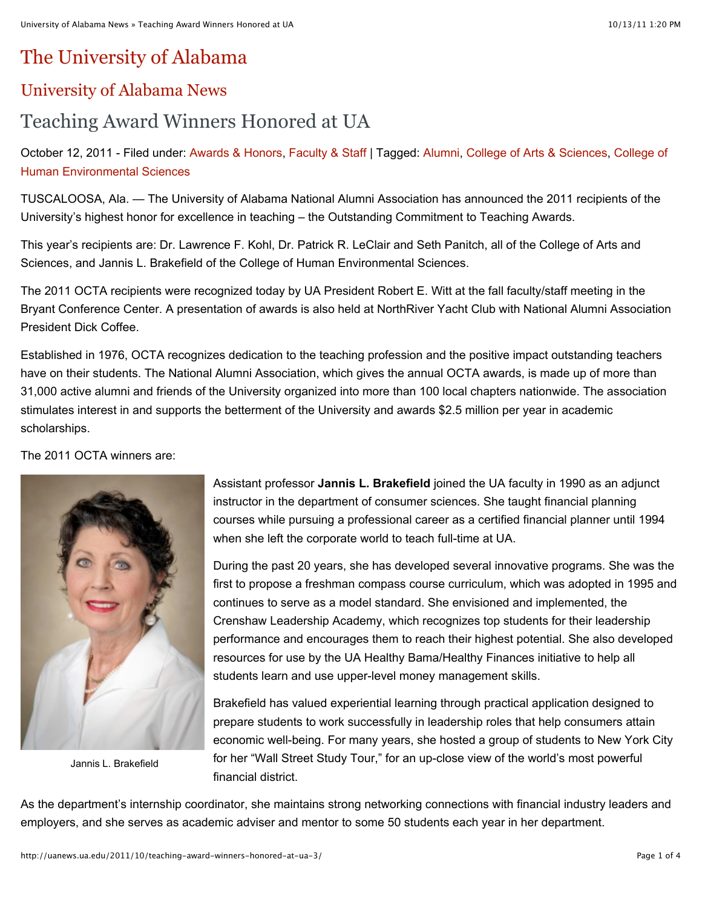## The University of Alabama

## University of Alabama News

## Teaching Award Winners Honored at UA

October 12, 2011 - Filed under: Awards & Honors, Faculty & Staff | Tagged: Alumni, College of Arts & Sciences, College of Human Environmental Sciences

TUSCALOOSA, Ala. — The University of Alabama National Alumni Association has announced the 2011 recipients of the University's highest honor for excellence in teaching – the Outstanding Commitment to Teaching Awards.

This year's recipients are: Dr. Lawrence F. Kohl, Dr. Patrick R. LeClair and Seth Panitch, all of the College of Arts and Sciences, and Jannis L. Brakefield of the College of Human Environmental Sciences.

The 2011 OCTA recipients were recognized today by UA President Robert E. Witt at the fall faculty/staff meeting in the Bryant Conference Center. A presentation of awards is also held at NorthRiver Yacht Club with National Alumni Association President Dick Coffee.

Established in 1976, OCTA recognizes dedication to the teaching profession and the positive impact outstanding teachers have on their students. The National Alumni Association, which gives the annual OCTA awards, is made up of more than 31,000 active alumni and friends of the University organized into more than 100 local chapters nationwide. The association stimulates interest in and supports the betterment of the University and awards \$2.5 million per year in academic scholarships.

The 2011 OCTA winners are:



Jannis L. Brakefield

Assistant professor **Jannis L. Brakefield** joined the UA faculty in 1990 as an adjunct instructor in the department of consumer sciences. She taught financial planning courses while pursuing a professional career as a certified financial planner until 1994 when she left the corporate world to teach full-time at UA.

During the past 20 years, she has developed several innovative programs. She was the first to propose a freshman compass course curriculum, which was adopted in 1995 and continues to serve as a model standard. She envisioned and implemented, the Crenshaw Leadership Academy, which recognizes top students for their leadership performance and encourages them to reach their highest potential. She also developed resources for use by the UA Healthy Bama/Healthy Finances initiative to help all students learn and use upper-level money management skills.

Brakefield has valued experiential learning through practical application designed to prepare students to work successfully in leadership roles that help consumers attain economic well-being. For many years, she hosted a group of students to New York City for her "Wall Street Study Tour," for an up-close view of the world's most powerful financial district.

As the department's internship coordinator, she maintains strong networking connections with financial industry leaders and employers, and she serves as academic adviser and mentor to some 50 students each year in her department.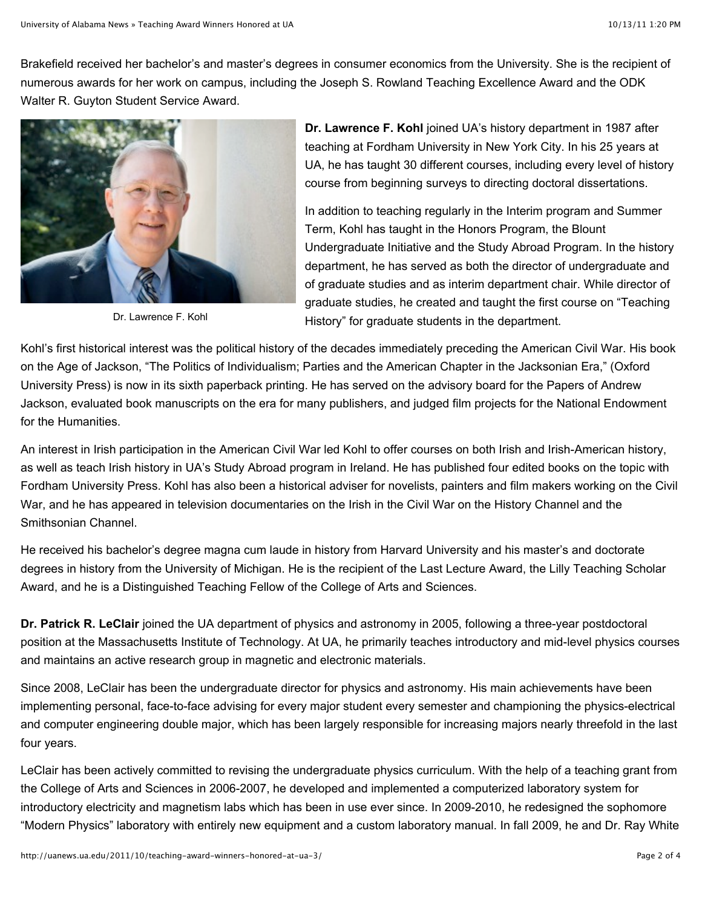Brakefield received her bachelor's and master's degrees in consumer economics from the University. She is the recipient of numerous awards for her work on campus, including the Joseph S. Rowland Teaching Excellence Award and the ODK Walter R. Guyton Student Service Award.



Dr. Lawrence F. Kohl

**Dr. Lawrence F. Kohl** joined UA's history department in 1987 after teaching at Fordham University in New York City. In his 25 years at UA, he has taught 30 different courses, including every level of history course from beginning surveys to directing doctoral dissertations.

In addition to teaching regularly in the Interim program and Summer Term, Kohl has taught in the Honors Program, the Blount Undergraduate Initiative and the Study Abroad Program. In the history department, he has served as both the director of undergraduate and of graduate studies and as interim department chair. While director of graduate studies, he created and taught the first course on "Teaching History" for graduate students in the department.

Kohl's first historical interest was the political history of the decades immediately preceding the American Civil War. His book on the Age of Jackson, "The Politics of Individualism; Parties and the American Chapter in the Jacksonian Era," (Oxford University Press) is now in its sixth paperback printing. He has served on the advisory board for the Papers of Andrew Jackson, evaluated book manuscripts on the era for many publishers, and judged film projects for the National Endowment for the Humanities.

An interest in Irish participation in the American Civil War led Kohl to offer courses on both Irish and Irish-American history, as well as teach Irish history in UA's Study Abroad program in Ireland. He has published four edited books on the topic with Fordham University Press. Kohl has also been a historical adviser for novelists, painters and film makers working on the Civil War, and he has appeared in television documentaries on the Irish in the Civil War on the History Channel and the Smithsonian Channel.

He received his bachelor's degree magna cum laude in history from Harvard University and his master's and doctorate degrees in history from the University of Michigan. He is the recipient of the Last Lecture Award, the Lilly Teaching Scholar Award, and he is a Distinguished Teaching Fellow of the College of Arts and Sciences.

**Dr. Patrick R. LeClair** joined the UA department of physics and astronomy in 2005, following a three-year postdoctoral position at the Massachusetts Institute of Technology. At UA, he primarily teaches introductory and mid-level physics courses and maintains an active research group in magnetic and electronic materials.

Since 2008, LeClair has been the undergraduate director for physics and astronomy. His main achievements have been implementing personal, face-to-face advising for every major student every semester and championing the physics-electrical and computer engineering double major, which has been largely responsible for increasing majors nearly threefold in the last four years.

LeClair has been actively committed to revising the undergraduate physics curriculum. With the help of a teaching grant from the College of Arts and Sciences in 2006-2007, he developed and implemented a computerized laboratory system for introductory electricity and magnetism labs which has been in use ever since. In 2009-2010, he redesigned the sophomore "Modern Physics" laboratory with entirely new equipment and a custom laboratory manual. In fall 2009, he and Dr. Ray White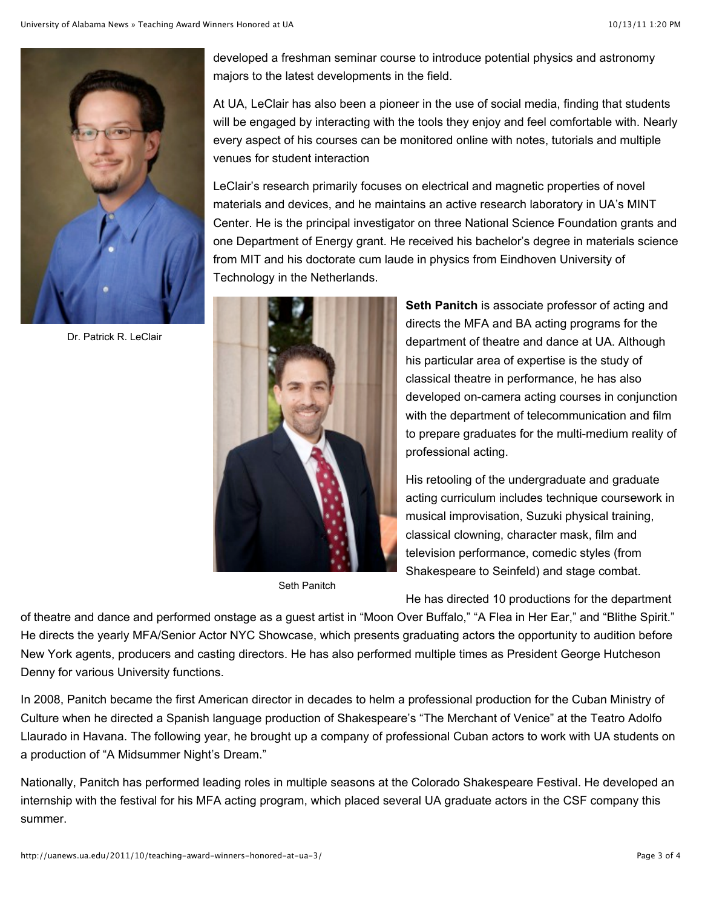

Dr. Patrick R. LeClair

developed a freshman seminar course to introduce potential physics and astronomy majors to the latest developments in the field.

At UA, LeClair has also been a pioneer in the use of social media, finding that students will be engaged by interacting with the tools they enjoy and feel comfortable with. Nearly every aspect of his courses can be monitored online with notes, tutorials and multiple venues for student interaction

LeClair's research primarily focuses on electrical and magnetic properties of novel materials and devices, and he maintains an active research laboratory in UA's MINT Center. He is the principal investigator on three National Science Foundation grants and one Department of Energy grant. He received his bachelor's degree in materials science from MIT and his doctorate cum laude in physics from Eindhoven University of Technology in the Netherlands.



Seth Panitch

**Seth Panitch** is associate professor of acting and directs the MFA and BA acting programs for the department of theatre and dance at UA. Although his particular area of expertise is the study of classical theatre in performance, he has also developed on-camera acting courses in conjunction with the department of telecommunication and film to prepare graduates for the multi-medium reality of professional acting.

His retooling of the undergraduate and graduate acting curriculum includes technique coursework in musical improvisation, Suzuki physical training, classical clowning, character mask, film and television performance, comedic styles (from Shakespeare to Seinfeld) and stage combat.

He has directed 10 productions for the department

of theatre and dance and performed onstage as a guest artist in "Moon Over Buffalo," "A Flea in Her Ear," and "Blithe Spirit." He directs the yearly MFA/Senior Actor NYC Showcase, which presents graduating actors the opportunity to audition before New York agents, producers and casting directors. He has also performed multiple times as President George Hutcheson Denny for various University functions.

In 2008, Panitch became the first American director in decades to helm a professional production for the Cuban Ministry of Culture when he directed a Spanish language production of Shakespeare's "The Merchant of Venice" at the Teatro Adolfo Llaurado in Havana. The following year, he brought up a company of professional Cuban actors to work with UA students on a production of "A Midsummer Night's Dream."

Nationally, Panitch has performed leading roles in multiple seasons at the Colorado Shakespeare Festival. He developed an internship with the festival for his MFA acting program, which placed several UA graduate actors in the CSF company this summer.